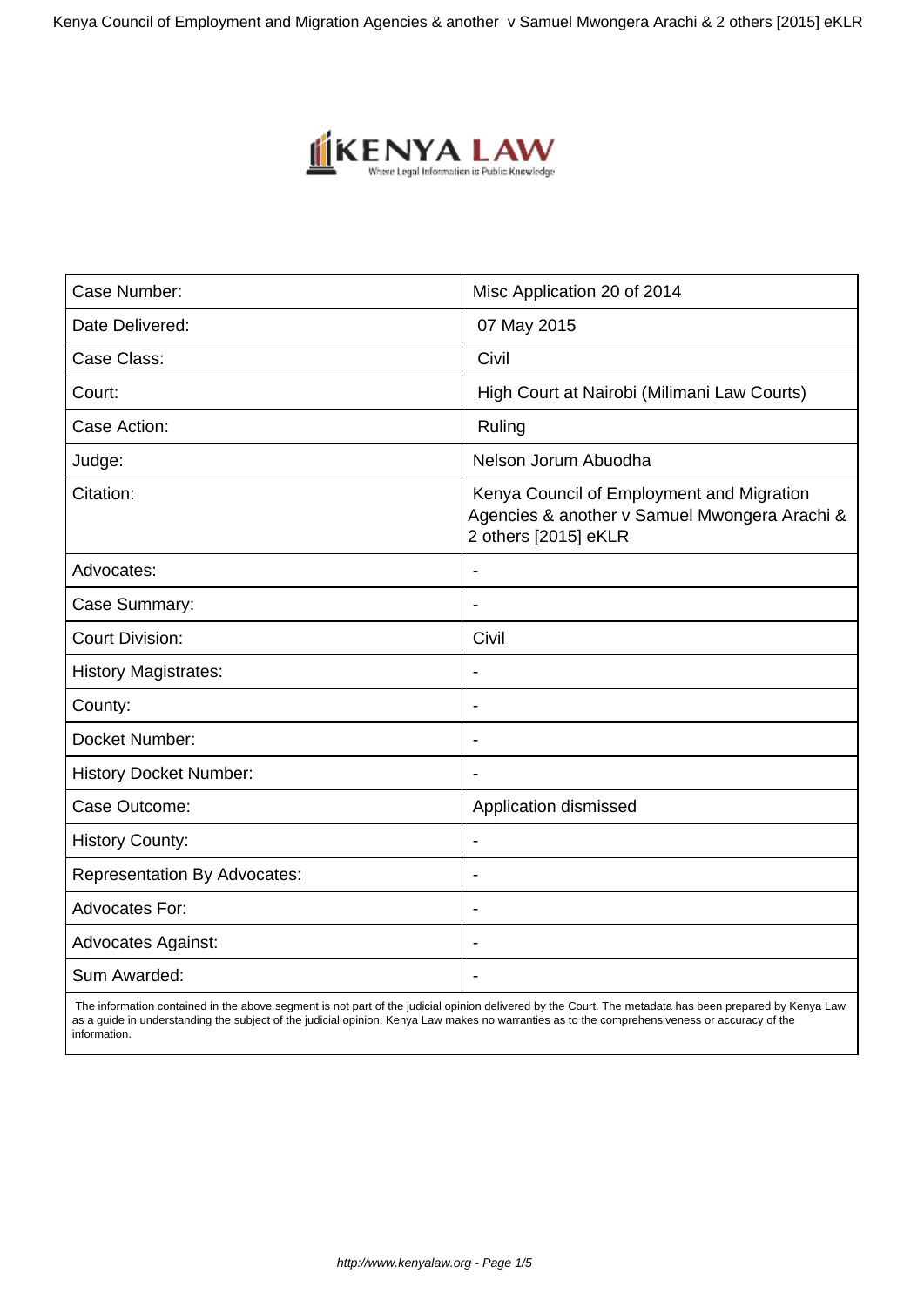Kenya Council of Employment and Migration Agencies & another v Samuel Mwongera Arachi & 2 others [2015] eKLR



| Case Number:                        | Misc Application 20 of 2014                                                                                        |
|-------------------------------------|--------------------------------------------------------------------------------------------------------------------|
| Date Delivered:                     | 07 May 2015                                                                                                        |
| Case Class:                         | Civil                                                                                                              |
| Court:                              | High Court at Nairobi (Milimani Law Courts)                                                                        |
| Case Action:                        | Ruling                                                                                                             |
| Judge:                              | Nelson Jorum Abuodha                                                                                               |
| Citation:                           | Kenya Council of Employment and Migration<br>Agencies & another v Samuel Mwongera Arachi &<br>2 others [2015] eKLR |
| Advocates:                          |                                                                                                                    |
| Case Summary:                       | $\blacksquare$                                                                                                     |
| <b>Court Division:</b>              | Civil                                                                                                              |
| <b>History Magistrates:</b>         | $\overline{\phantom{a}}$                                                                                           |
| County:                             | $\blacksquare$                                                                                                     |
| Docket Number:                      | $\blacksquare$                                                                                                     |
| <b>History Docket Number:</b>       |                                                                                                                    |
| Case Outcome:                       | Application dismissed                                                                                              |
| <b>History County:</b>              |                                                                                                                    |
| <b>Representation By Advocates:</b> | $\blacksquare$                                                                                                     |
| <b>Advocates For:</b>               | $\overline{\phantom{a}}$                                                                                           |
| <b>Advocates Against:</b>           | $\blacksquare$                                                                                                     |
| Sum Awarded:                        | $\overline{\phantom{a}}$                                                                                           |

 The information contained in the above segment is not part of the judicial opinion delivered by the Court. The metadata has been prepared by Kenya Law as a guide in understanding the subject of the judicial opinion. Kenya Law makes no warranties as to the comprehensiveness or accuracy of the information.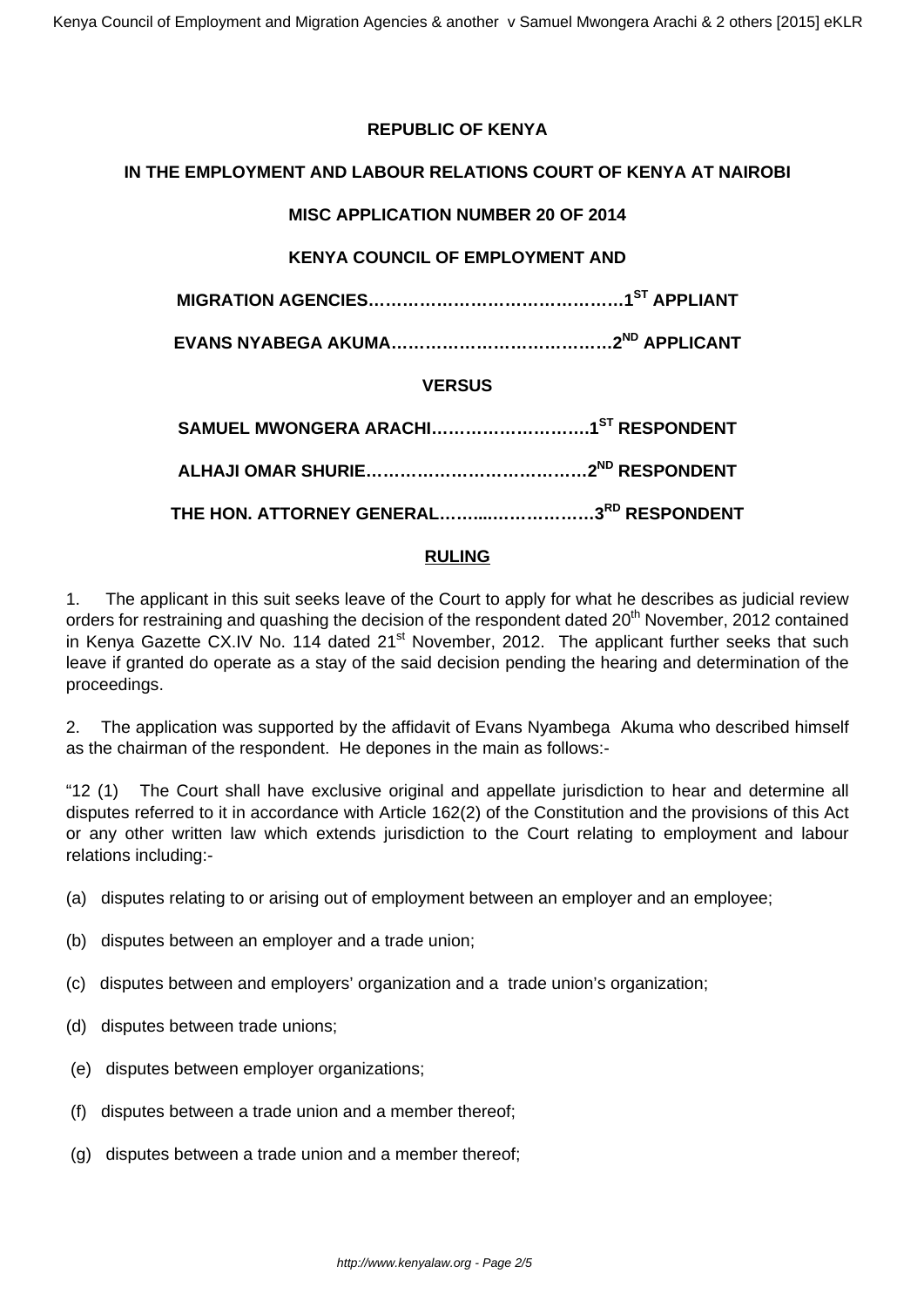# **REPUBLIC OF KENYA**

# **IN THE EMPLOYMENT AND LABOUR RELATIONS COURT OF KENYA AT NAIROBI**

# **MISC APPLICATION NUMBER 20 OF 2014**

# **KENYA COUNCIL OF EMPLOYMENT AND**

**MIGRATION AGENCIES………………………………………1ST APPLIANT**

**EVANS NYABEGA AKUMA…………………………………2ND APPLICANT**

# **VERSUS**

| THE HON. ATTORNEY GENERAL3 <sup>RD</sup> RESPONDENT |  |
|-----------------------------------------------------|--|

# **RULING**

1. The applicant in this suit seeks leave of the Court to apply for what he describes as judicial review orders for restraining and quashing the decision of the respondent dated 20<sup>th</sup> November, 2012 contained in Kenya Gazette CX.IV No. 114 dated 21<sup>st</sup> November, 2012. The applicant further seeks that such leave if granted do operate as a stay of the said decision pending the hearing and determination of the proceedings.

2. The application was supported by the affidavit of Evans Nyambega Akuma who described himself as the chairman of the respondent. He depones in the main as follows:-

"12 (1) The Court shall have exclusive original and appellate jurisdiction to hear and determine all disputes referred to it in accordance with Article 162(2) of the Constitution and the provisions of this Act or any other written law which extends jurisdiction to the Court relating to employment and labour relations including:-

- (a) disputes relating to or arising out of employment between an employer and an employee;
- (b) disputes between an employer and a trade union;
- (c) disputes between and employers' organization and a trade union's organization;
- (d) disputes between trade unions;
- (e) disputes between employer organizations;
- (f) disputes between a trade union and a member thereof;
- (g) disputes between a trade union and a member thereof;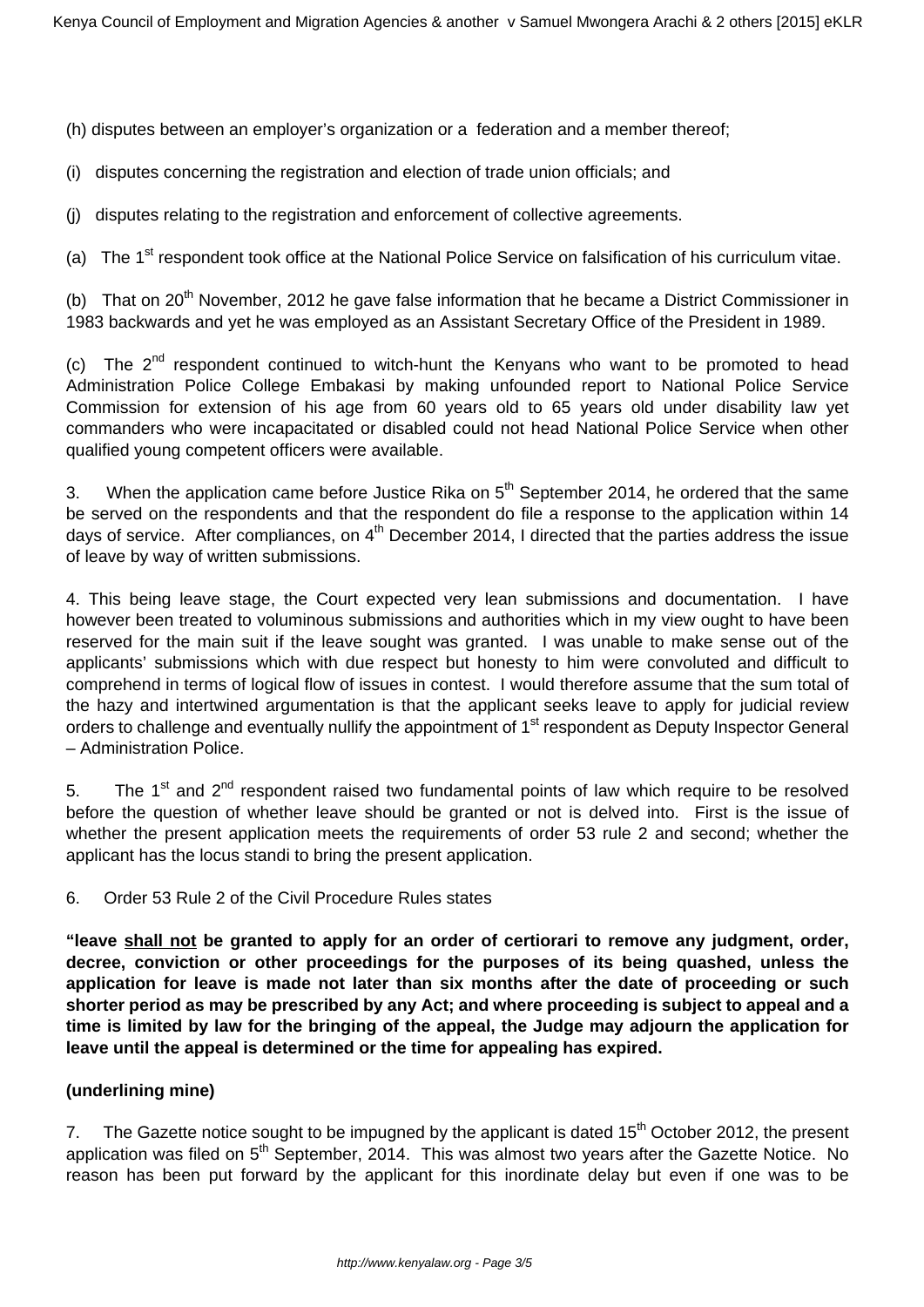(h) disputes between an employer's organization or a federation and a member thereof;

- (i) disputes concerning the registration and election of trade union officials; and
- (j) disputes relating to the registration and enforcement of collective agreements.

(a) The 1<sup>st</sup> respondent took office at the National Police Service on falsification of his curriculum vitae.

(b) That on  $20<sup>th</sup>$  November, 2012 he gave false information that he became a District Commissioner in 1983 backwards and yet he was employed as an Assistant Secretary Office of the President in 1989.

(c) The  $2^{nd}$  respondent continued to witch-hunt the Kenyans who want to be promoted to head Administration Police College Embakasi by making unfounded report to National Police Service Commission for extension of his age from 60 years old to 65 years old under disability law yet commanders who were incapacitated or disabled could not head National Police Service when other qualified young competent officers were available.

3. When the application came before Justice Rika on  $5<sup>th</sup>$  September 2014, he ordered that the same be served on the respondents and that the respondent do file a response to the application within 14 days of service. After compliances, on  $4<sup>th</sup>$  December 2014, I directed that the parties address the issue of leave by way of written submissions.

4. This being leave stage, the Court expected very lean submissions and documentation. I have however been treated to voluminous submissions and authorities which in my view ought to have been reserved for the main suit if the leave sought was granted. I was unable to make sense out of the applicants' submissions which with due respect but honesty to him were convoluted and difficult to comprehend in terms of logical flow of issues in contest. I would therefore assume that the sum total of the hazy and intertwined argumentation is that the applicant seeks leave to apply for judicial review orders to challenge and eventually nullify the appointment of 1<sup>st</sup> respondent as Deputy Inspector General – Administration Police.

5. The 1<sup>st</sup> and  $2<sup>nd</sup>$  respondent raised two fundamental points of law which require to be resolved before the question of whether leave should be granted or not is delved into. First is the issue of whether the present application meets the requirements of order 53 rule 2 and second; whether the applicant has the locus standi to bring the present application.

#### 6. Order 53 Rule 2 of the Civil Procedure Rules states

**"leave shall not be granted to apply for an order of certiorari to remove any judgment, order, decree, conviction or other proceedings for the purposes of its being quashed, unless the application for leave is made not later than six months after the date of proceeding or such shorter period as may be prescribed by any Act; and where proceeding is subject to appeal and a time is limited by law for the bringing of the appeal, the Judge may adjourn the application for leave until the appeal is determined or the time for appealing has expired.** 

#### **(underlining mine)**

7. The Gazette notice sought to be impugned by the applicant is dated  $15<sup>th</sup>$  October 2012, the present application was filed on 5<sup>th</sup> September, 2014. This was almost two years after the Gazette Notice. No reason has been put forward by the applicant for this inordinate delay but even if one was to be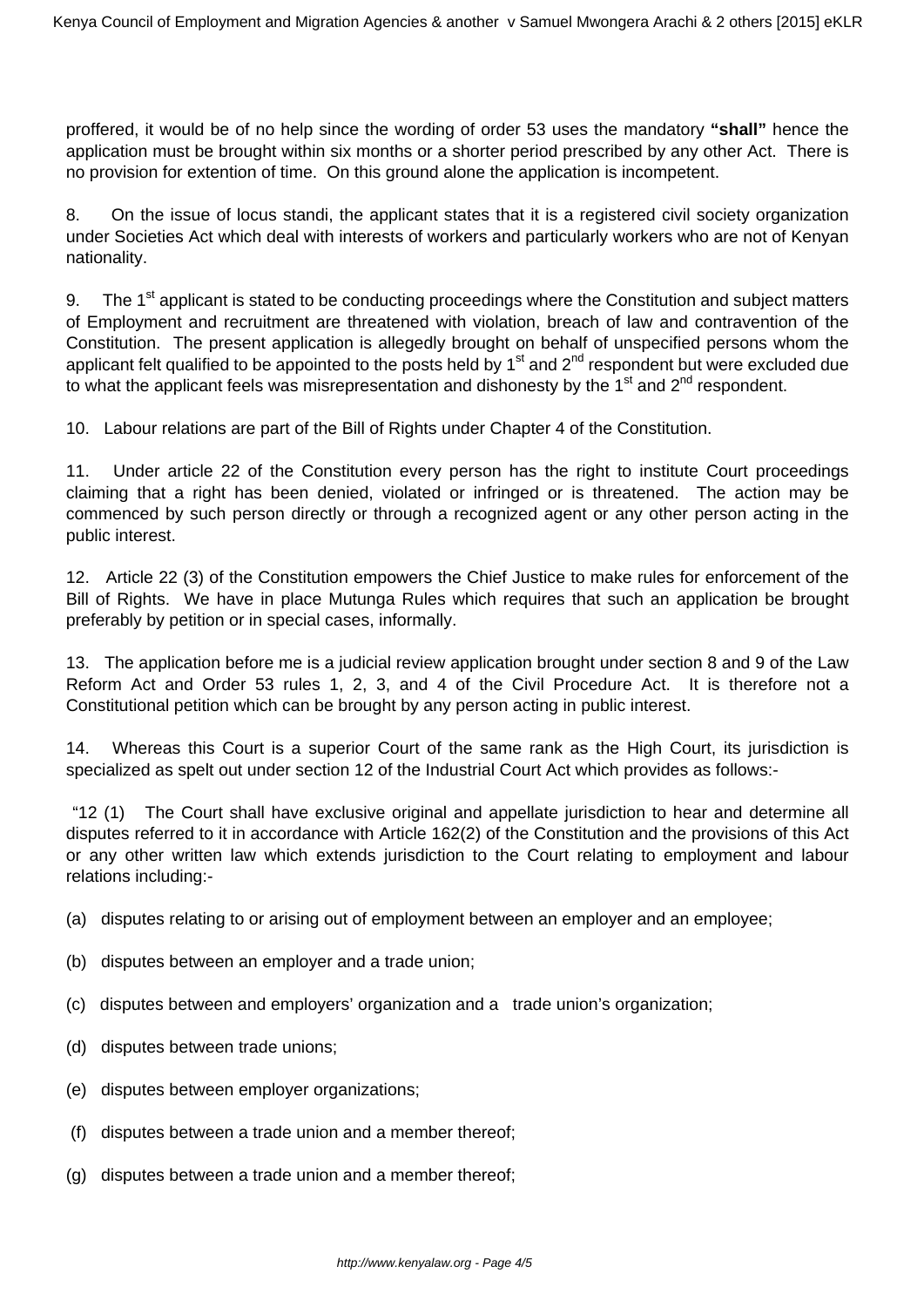proffered, it would be of no help since the wording of order 53 uses the mandatory **"shall"** hence the application must be brought within six months or a shorter period prescribed by any other Act. There is no provision for extention of time. On this ground alone the application is incompetent.

8. On the issue of locus standi, the applicant states that it is a registered civil society organization under Societies Act which deal with interests of workers and particularly workers who are not of Kenyan nationality.

9. The 1<sup>st</sup> applicant is stated to be conducting proceedings where the Constitution and subject matters of Employment and recruitment are threatened with violation, breach of law and contravention of the Constitution. The present application is allegedly brought on behalf of unspecified persons whom the applicant felt qualified to be appointed to the posts held by  $1<sup>st</sup>$  and  $2<sup>nd</sup>$  respondent but were excluded due to what the applicant feels was misrepresentation and dishonesty by the  $1<sup>st</sup>$  and  $2<sup>nd</sup>$  respondent.

10. Labour relations are part of the Bill of Rights under Chapter 4 of the Constitution.

11. Under article 22 of the Constitution every person has the right to institute Court proceedings claiming that a right has been denied, violated or infringed or is threatened. The action may be commenced by such person directly or through a recognized agent or any other person acting in the public interest.

12. Article 22 (3) of the Constitution empowers the Chief Justice to make rules for enforcement of the Bill of Rights. We have in place Mutunga Rules which requires that such an application be brought preferably by petition or in special cases, informally.

13. The application before me is a judicial review application brought under section 8 and 9 of the Law Reform Act and Order 53 rules 1, 2, 3, and 4 of the Civil Procedure Act. It is therefore not a Constitutional petition which can be brought by any person acting in public interest.

14. Whereas this Court is a superior Court of the same rank as the High Court, its jurisdiction is specialized as spelt out under section 12 of the Industrial Court Act which provides as follows:-

"12 (1) The Court shall have exclusive original and appellate jurisdiction to hear and determine all disputes referred to it in accordance with Article 162(2) of the Constitution and the provisions of this Act or any other written law which extends jurisdiction to the Court relating to employment and labour relations including:-

- (a) disputes relating to or arising out of employment between an employer and an employee;
- (b) disputes between an employer and a trade union;
- (c) disputes between and employers' organization and a trade union's organization;
- (d) disputes between trade unions;
- (e) disputes between employer organizations;
- (f) disputes between a trade union and a member thereof;
- (g) disputes between a trade union and a member thereof;